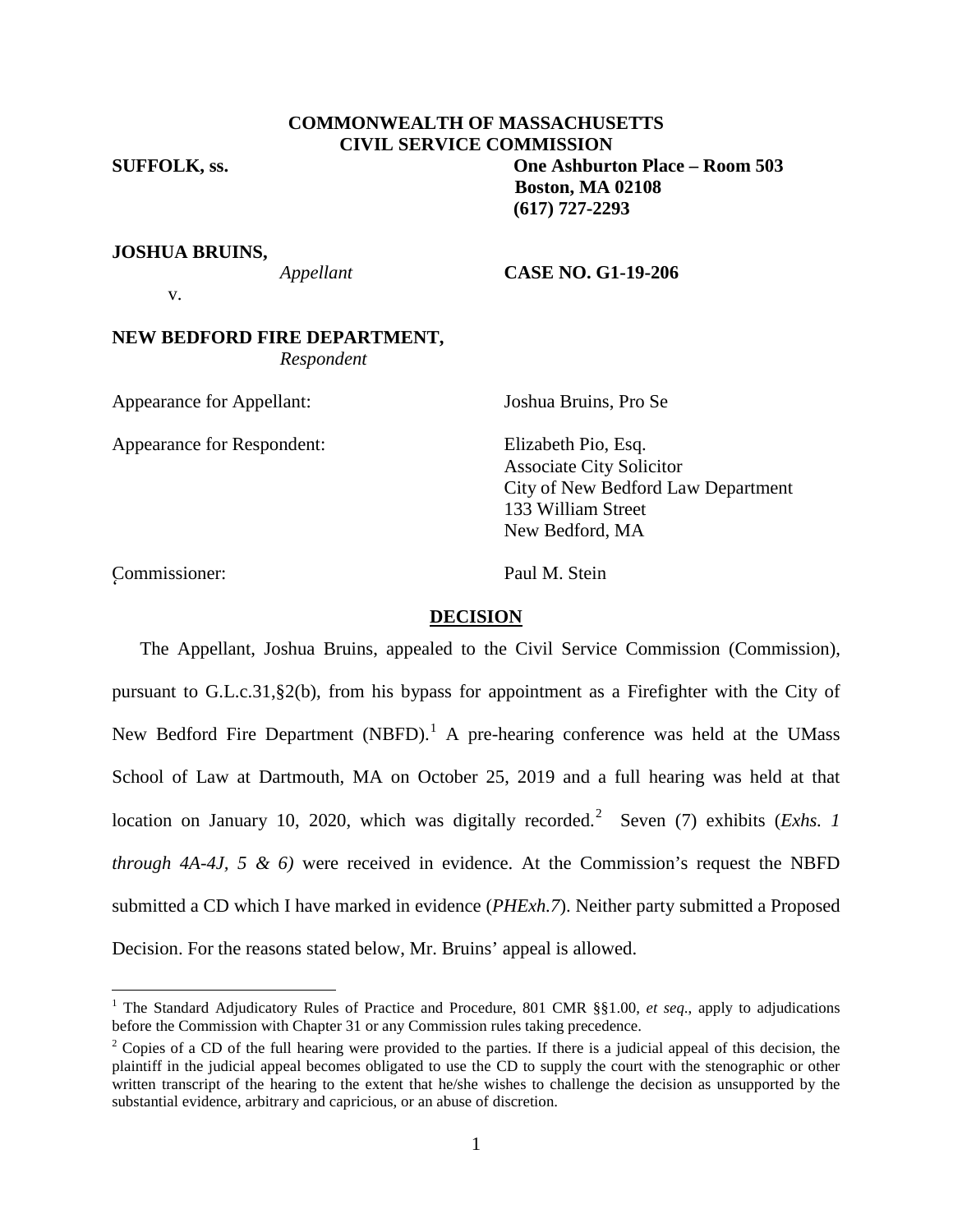## **COMMONWEALTH OF MASSACHUSETTS CIVIL SERVICE COMMISSION**

# **SUFFOLK, ss. One Ashburton Place – Room 503 Boston, MA 02108 (617) 727-2293**

**JOSHUA BRUINS,**

*Appellant* **CASE NO. G1-19-206**

v.

## **NEW BEDFORD FIRE DEPARTMENT,** *Respondent*

Appearance for Appellant: Joshua Bruins, Pro Se

Appearance for Respondent: Elizabeth Pio, Esq.

Associate City Solicitor City of New Bedford Law Department 133 William Street New Bedford, MA

Commissioner: Paul M. Stein '

## **DECISION**

The Appellant, Joshua Bruins, appealed to the Civil Service Commission (Commission), pursuant to G.L.c.31,§2(b), from his bypass for appointment as a Firefighter with the City of New Bedford Fire Department (NBFD).<sup>[1](#page-0-0)</sup> A pre-hearing conference was held at the UMass School of Law at Dartmouth, MA on October 25, 2019 and a full hearing was held at that location on January 10, [2](#page-0-1)020, which was digitally recorded.<sup>2</sup> Seven (7) exhibits (*Exhs. 1 through 4A-4J, 5 & 6)* were received in evidence. At the Commission's request the NBFD submitted a CD which I have marked in evidence (*PHExh.7*). Neither party submitted a Proposed Decision. For the reasons stated below, Mr. Bruins' appeal is allowed.

<span id="page-0-0"></span> <sup>1</sup> The Standard Adjudicatory Rules of Practice and Procedure, 801 CMR §§1.00, *et seq*., apply to adjudications before the Commission with Chapter 31 or any Commission rules taking precedence.

<span id="page-0-2"></span><span id="page-0-1"></span> $2$  Copies of a CD of the full hearing were provided to the parties. If there is a judicial appeal of this decision, the plaintiff in the judicial appeal becomes obligated to use the CD to supply the court with the stenographic or other written transcript of the hearing to the extent that he/she wishes to challenge the decision as unsupported by the substantial evidence, arbitrary and capricious, or an abuse of discretion.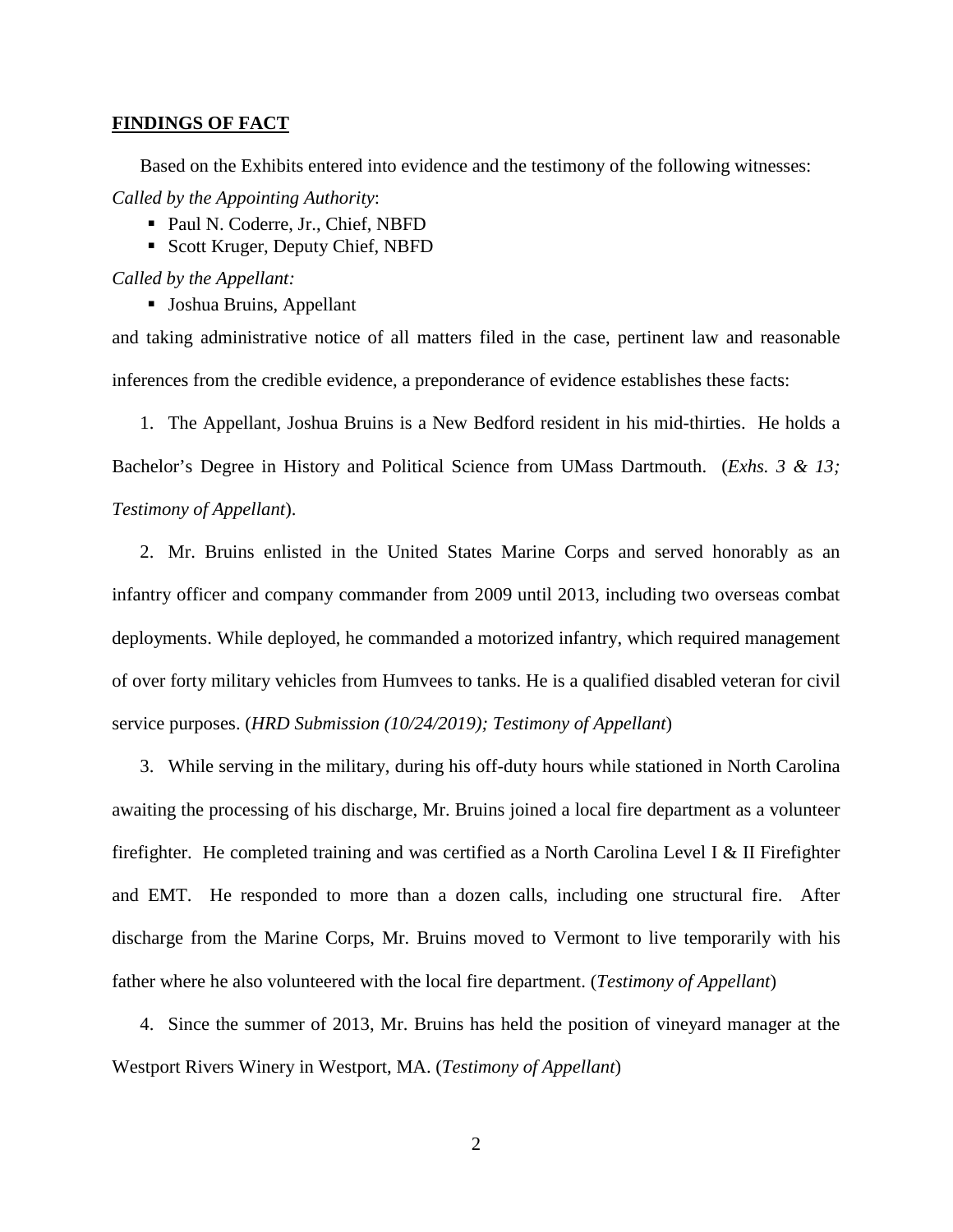#### **FINDINGS OF FACT**

Based on the Exhibits entered into evidence and the testimony of the following witnesses: *Called by the Appointing Authority*:

- Paul N. Coderre, Jr., Chief, NBFD
- Scott Kruger, Deputy Chief, NBFD

*Called by the Appellant:*

Joshua Bruins, Appellant

and taking administrative notice of all matters filed in the case, pertinent law and reasonable inferences from the credible evidence, a preponderance of evidence establishes these facts:

1. The Appellant, Joshua Bruins is a New Bedford resident in his mid-thirties. He holds a Bachelor's Degree in History and Political Science from UMass Dartmouth. (*Exhs. 3 & 13; Testimony of Appellant*).

2. Mr. Bruins enlisted in the United States Marine Corps and served honorably as an infantry officer and company commander from 2009 until 2013, including two overseas combat deployments. While deployed, he commanded a motorized infantry, which required management of over forty military vehicles from Humvees to tanks. He is a qualified disabled veteran for civil service purposes. (*HRD Submission (10/24/2019); Testimony of Appellant*)

3. While serving in the military, during his off-duty hours while stationed in North Carolina awaiting the processing of his discharge, Mr. Bruins joined a local fire department as a volunteer firefighter. He completed training and was certified as a North Carolina Level I & II Firefighter and EMT. He responded to more than a dozen calls, including one structural fire. After discharge from the Marine Corps, Mr. Bruins moved to Vermont to live temporarily with his father where he also volunteered with the local fire department. (*Testimony of Appellant*)

4. Since the summer of 2013, Mr. Bruins has held the position of vineyard manager at the Westport Rivers Winery in Westport, MA. (*Testimony of Appellant*)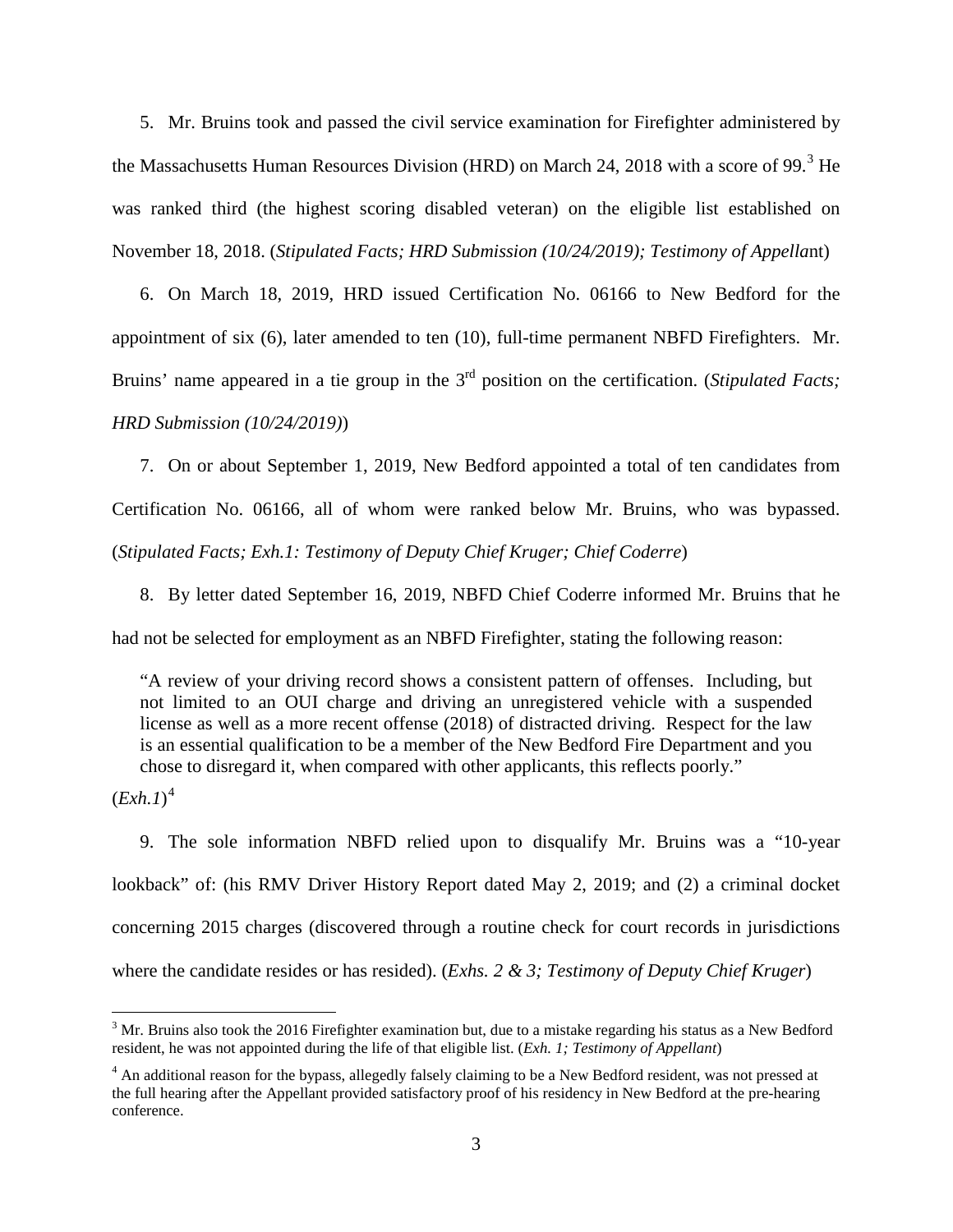5. Mr. Bruins took and passed the civil service examination for Firefighter administered by the Massachusetts Human Resources Division (HRD) on March 24, 2018 with a score of 99. $3$  He was ranked third (the highest scoring disabled veteran) on the eligible list established on November 18, 2018. (*Stipulated Facts; HRD Submission (10/24/2019); Testimony of Appella*nt)

6. On March 18, 2019, HRD issued Certification No. 06166 to New Bedford for the appointment of six (6), later amended to ten (10), full-time permanent NBFD Firefighters. Mr. Bruins' name appeared in a tie group in the 3<sup>rd</sup> position on the certification. (*Stipulated Facts*; *HRD Submission (10/24/2019)*)

7. On or about September 1, 2019, New Bedford appointed a total of ten candidates from Certification No. 06166, all of whom were ranked below Mr. Bruins, who was bypassed. (*Stipulated Facts; Exh.1: Testimony of Deputy Chief Kruger; Chief Coderre*)

8. By letter dated September 16, 2019, NBFD Chief Coderre informed Mr. Bruins that he

had not be selected for employment as an NBFD Firefighter, stating the following reason:

"A review of your driving record shows a consistent pattern of offenses. Including, but not limited to an OUI charge and driving an unregistered vehicle with a suspended license as well as a more recent offense (2018) of distracted driving. Respect for the law is an essential qualification to be a member of the New Bedford Fire Department and you chose to disregard it, when compared with other applicants, this reflects poorly."

(*Exh.1*) [4](#page-2-0)

9. The sole information NBFD relied upon to disqualify Mr. Bruins was a "10-year lookback" of: (his RMV Driver History Report dated May 2, 2019; and (2) a criminal docket concerning 2015 charges (discovered through a routine check for court records in jurisdictions where the candidate resides or has resided). (*Exhs. 2 & 3; Testimony of Deputy Chief Kruger*)

 $3$  Mr. Bruins also took the 2016 Firefighter examination but, due to a mistake regarding his status as a New Bedford resident, he was not appointed during the life of that eligible list. (*Exh. 1; Testimony of Appellant*)

<span id="page-2-0"></span><sup>&</sup>lt;sup>4</sup> An additional reason for the bypass, allegedly falsely claiming to be a New Bedford resident, was not pressed at the full hearing after the Appellant provided satisfactory proof of his residency in New Bedford at the pre-hearing conference.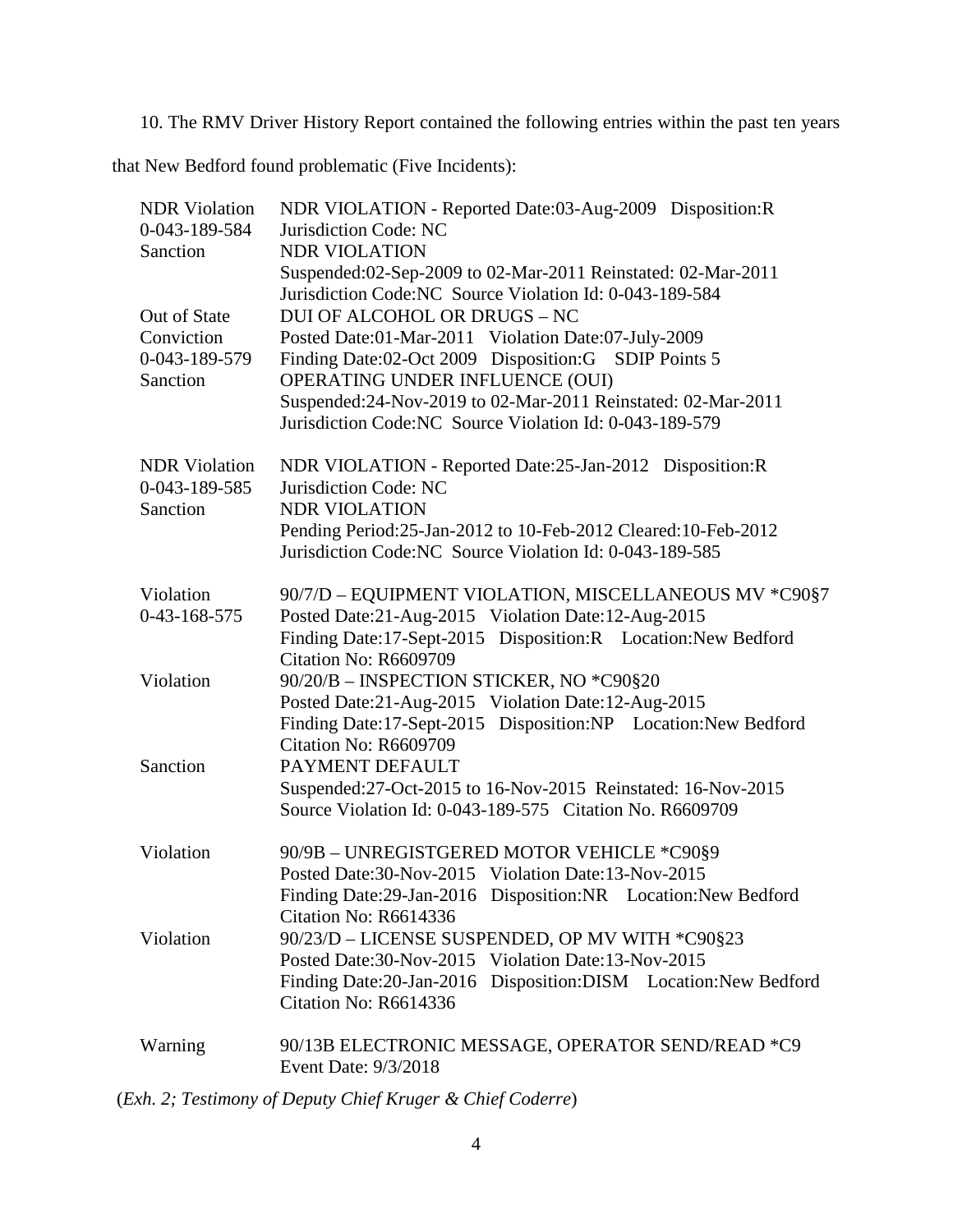10. The RMV Driver History Report contained the following entries within the past ten years

that New Bedford found problematic (Five Incidents):

| <b>NDR</b> Violation      | NDR VIOLATION - Reported Date:03-Aug-2009 Disposition:R        |
|---------------------------|----------------------------------------------------------------|
| 0-043-189-584             | Jurisdiction Code: NC                                          |
| Sanction                  | <b>NDR VIOLATION</b>                                           |
|                           | Suspended:02-Sep-2009 to 02-Mar-2011 Reinstated: 02-Mar-2011   |
|                           | Jurisdiction Code: NC Source Violation Id: 0-043-189-584       |
| Out of State              | <b>DUI OF ALCOHOL OR DRUGS - NC</b>                            |
| Conviction                | Posted Date:01-Mar-2011 Violation Date:07-July-2009            |
| 0-043-189-579<br>Sanction | Finding Date:02-Oct 2009 Disposition:G SDIP Points 5           |
|                           | OPERATING UNDER INFLUENCE (OUI)                                |
|                           | Suspended: 24-Nov-2019 to 02-Mar-2011 Reinstated: 02-Mar-2011  |
|                           | Jurisdiction Code: NC Source Violation Id: 0-043-189-579       |
| <b>NDR</b> Violation      | NDR VIOLATION - Reported Date:25-Jan-2012 Disposition:R        |
| 0-043-189-585             | Jurisdiction Code: NC                                          |
| Sanction                  | <b>NDR VIOLATION</b>                                           |
|                           | Pending Period:25-Jan-2012 to 10-Feb-2012 Cleared:10-Feb-2012  |
|                           | Jurisdiction Code: NC Source Violation Id: 0-043-189-585       |
|                           |                                                                |
| Violation                 | 90/7/D - EQUIPMENT VIOLATION, MISCELLANEOUS MV *C90§7          |
| $0-43-168-575$            | Posted Date:21-Aug-2015 Violation Date:12-Aug-2015             |
|                           | Finding Date:17-Sept-2015 Disposition:R Location:New Bedford   |
|                           | Citation No: R6609709                                          |
| Violation                 | 90/20/B - INSPECTION STICKER, NO *C90§20                       |
|                           | Posted Date:21-Aug-2015 Violation Date:12-Aug-2015             |
|                           | Finding Date:17-Sept-2015 Disposition:NP Location:New Bedford  |
|                           | Citation No: R6609709                                          |
| Sanction                  | PAYMENT DEFAULT                                                |
|                           | Suspended: 27-Oct-2015 to 16-Nov-2015 Reinstated: 16-Nov-2015  |
|                           | Source Violation Id: 0-043-189-575 Citation No. R6609709       |
| Violation                 | 90/9B - UNREGISTGERED MOTOR VEHICLE *C90§9                     |
|                           | Posted Date:30-Nov-2015 Violation Date:13-Nov-2015             |
|                           | Finding Date:29-Jan-2016 Disposition:NR Location:New Bedford   |
|                           | Citation No: R6614336                                          |
| Violation                 | 90/23/D - LICENSE SUSPENDED, OP MV WITH *C90§23                |
|                           | Posted Date:30-Nov-2015 Violation Date:13-Nov-2015             |
|                           | Finding Date:20-Jan-2016 Disposition:DISM Location:New Bedford |
|                           | Citation No: R6614336                                          |
|                           |                                                                |
| Warning                   | 90/13B ELECTRONIC MESSAGE, OPERATOR SEND/READ *C9              |
|                           | Event Date: 9/3/2018                                           |

(*Exh. 2; Testimony of Deputy Chief Kruger & Chief Coderre*)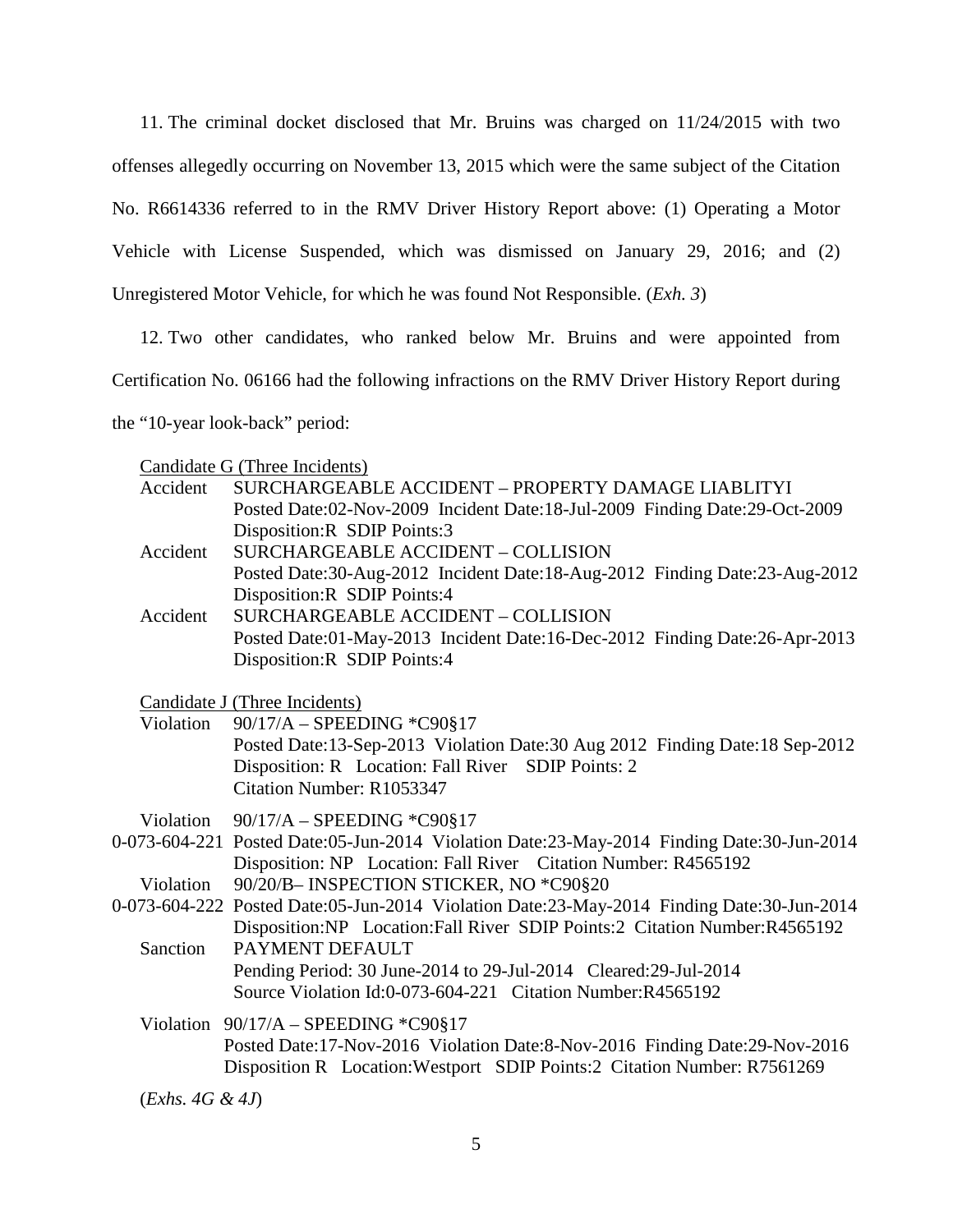11. The criminal docket disclosed that Mr. Bruins was charged on 11/24/2015 with two offenses allegedly occurring on November 13, 2015 which were the same subject of the Citation No. R6614336 referred to in the RMV Driver History Report above: (1) Operating a Motor Vehicle with License Suspended, which was dismissed on January 29, 2016; and (2) Unregistered Motor Vehicle, for which he was found Not Responsible. (*Exh. 3*)

12. Two other candidates, who ranked below Mr. Bruins and were appointed from Certification No. 06166 had the following infractions on the RMV Driver History Report during the "10-year look-back" period:

| Candidate G (Three Incidents) |
|-------------------------------|
|-------------------------------|

| Accident           | SURCHARGEABLE ACCIDENT – PROPERTY DAMAGE LIABLITYI                                        |
|--------------------|-------------------------------------------------------------------------------------------|
|                    | Posted Date:02-Nov-2009 Incident Date:18-Jul-2009 Finding Date:29-Oct-2009                |
|                    | Disposition:R SDIP Points:3                                                               |
| Accident           | <b>SURCHARGEABLE ACCIDENT - COLLISION</b>                                                 |
|                    | Posted Date:30-Aug-2012 Incident Date:18-Aug-2012 Finding Date:23-Aug-2012                |
|                    | Disposition:R SDIP Points:4                                                               |
| Accident           | <b>SURCHARGEABLE ACCIDENT - COLLISION</b>                                                 |
|                    | Posted Date:01-May-2013 Incident Date:16-Dec-2012 Finding Date:26-Apr-2013                |
|                    | Disposition:R SDIP Points:4                                                               |
|                    |                                                                                           |
|                    | Candidate J (Three Incidents)                                                             |
| Violation          | 90/17/A - SPEEDING *C90§17                                                                |
|                    | Posted Date:13-Sep-2013 Violation Date:30 Aug 2012 Finding Date:18 Sep-2012               |
|                    | Disposition: R Location: Fall River SDIP Points: 2                                        |
|                    | Citation Number: R1053347                                                                 |
| Violation          | 90/17/A - SPEEDING *C90§17                                                                |
|                    | 0-073-604-221 Posted Date:05-Jun-2014 Violation Date:23-May-2014 Finding Date:30-Jun-2014 |
|                    | Disposition: NP Location: Fall River Citation Number: R4565192                            |
| Violation          | 90/20/B- INSPECTION STICKER, NO *C90§20                                                   |
|                    | 0-073-604-222 Posted Date:05-Jun-2014 Violation Date:23-May-2014 Finding Date:30-Jun-2014 |
|                    | Disposition: NP Location: Fall River SDIP Points: 2 Citation Number: R4565192             |
| Sanction           | PAYMENT DEFAULT                                                                           |
|                    | Pending Period: 30 June-2014 to 29-Jul-2014 Cleared: 29-Jul-2014                          |
|                    | Source Violation Id:0-073-604-221 Citation Number:R4565192                                |
|                    | Violation $90/17/A - SPEEDING *C90§17$                                                    |
|                    | Posted Date:17-Nov-2016 Violation Date:8-Nov-2016 Finding Date:29-Nov-2016                |
|                    | Disposition R Location: Westport SDIP Points: 2 Citation Number: R7561269                 |
|                    |                                                                                           |
| $(Exhs. 4G \& 4J)$ |                                                                                           |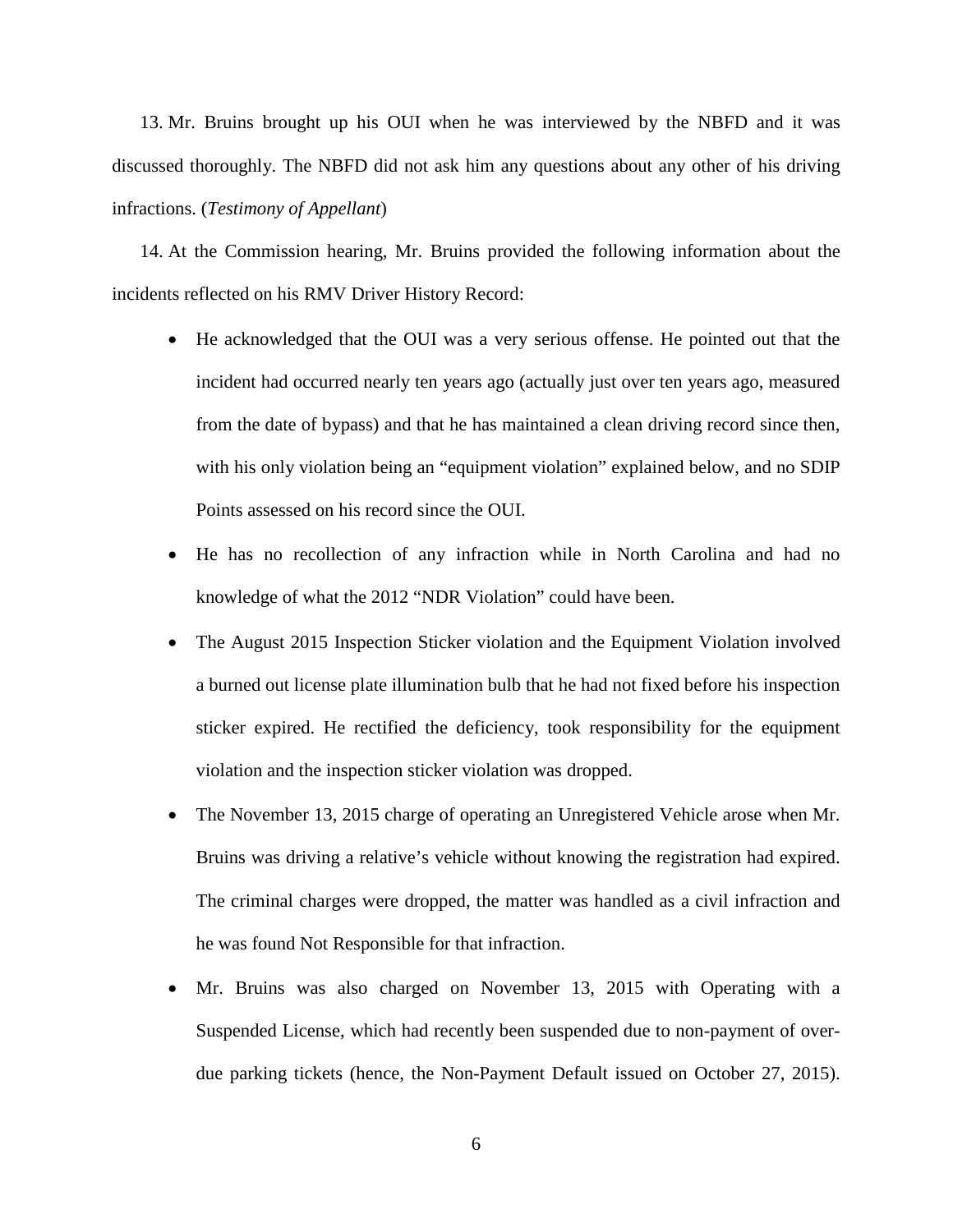13. Mr. Bruins brought up his OUI when he was interviewed by the NBFD and it was discussed thoroughly. The NBFD did not ask him any questions about any other of his driving infractions. (*Testimony of Appellant*)

14. At the Commission hearing, Mr. Bruins provided the following information about the incidents reflected on his RMV Driver History Record:

- He acknowledged that the OUI was a very serious offense. He pointed out that the incident had occurred nearly ten years ago (actually just over ten years ago, measured from the date of bypass) and that he has maintained a clean driving record since then, with his only violation being an "equipment violation" explained below, and no SDIP Points assessed on his record since the OUI.
- He has no recollection of any infraction while in North Carolina and had no knowledge of what the 2012 "NDR Violation" could have been.
- The August 2015 Inspection Sticker violation and the Equipment Violation involved a burned out license plate illumination bulb that he had not fixed before his inspection sticker expired. He rectified the deficiency, took responsibility for the equipment violation and the inspection sticker violation was dropped.
- The November 13, 2015 charge of operating an Unregistered Vehicle arose when Mr. Bruins was driving a relative's vehicle without knowing the registration had expired. The criminal charges were dropped, the matter was handled as a civil infraction and he was found Not Responsible for that infraction.
- Mr. Bruins was also charged on November 13, 2015 with Operating with a Suspended License, which had recently been suspended due to non-payment of overdue parking tickets (hence, the Non-Payment Default issued on October 27, 2015).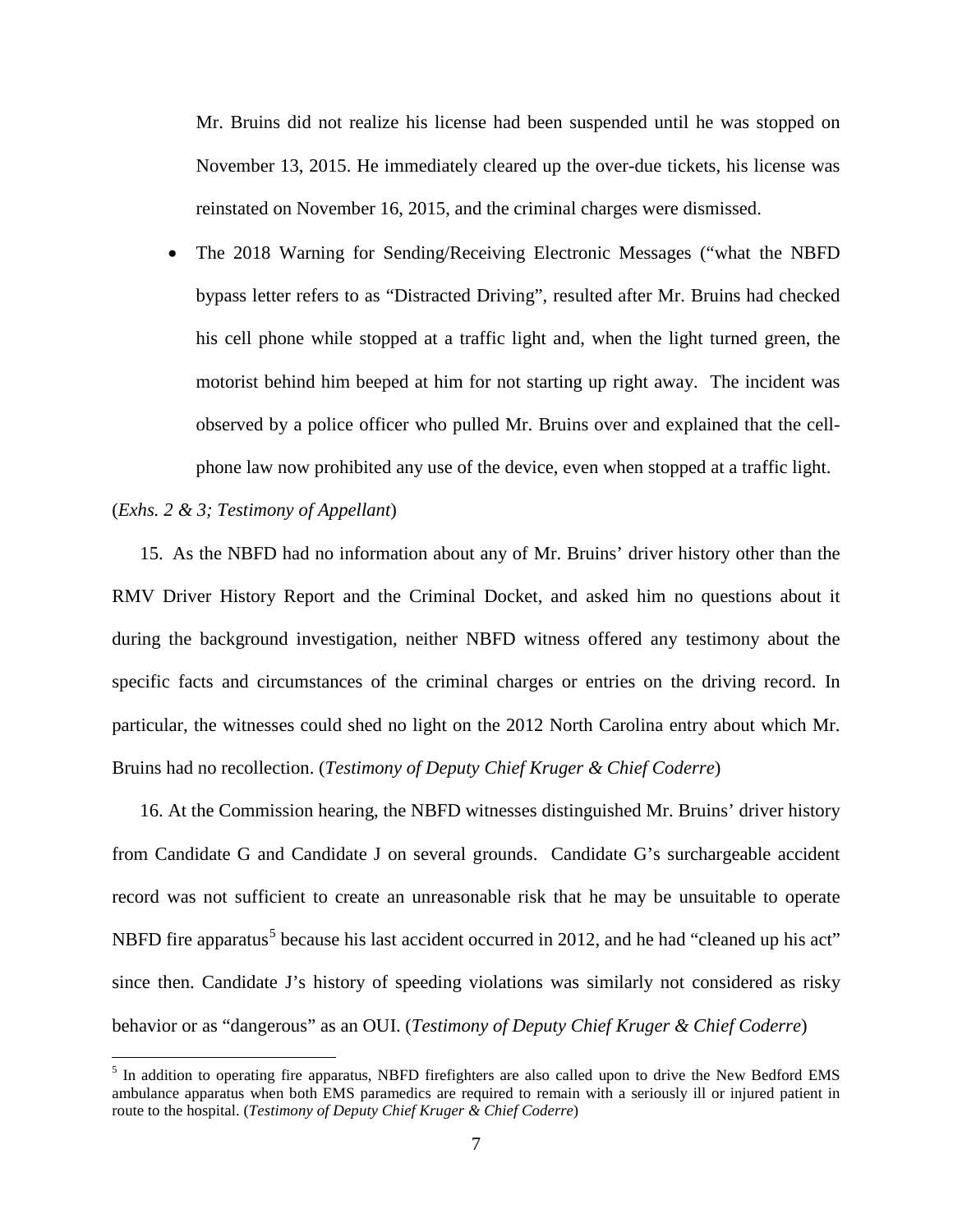Mr. Bruins did not realize his license had been suspended until he was stopped on November 13, 2015. He immediately cleared up the over-due tickets, his license was reinstated on November 16, 2015, and the criminal charges were dismissed.

• The 2018 Warning for Sending/Receiving Electronic Messages ("what the NBFD bypass letter refers to as "Distracted Driving", resulted after Mr. Bruins had checked his cell phone while stopped at a traffic light and, when the light turned green, the motorist behind him beeped at him for not starting up right away. The incident was observed by a police officer who pulled Mr. Bruins over and explained that the cellphone law now prohibited any use of the device, even when stopped at a traffic light.

## (*Exhs. 2 & 3; Testimony of Appellant*)

15. As the NBFD had no information about any of Mr. Bruins' driver history other than the RMV Driver History Report and the Criminal Docket, and asked him no questions about it during the background investigation, neither NBFD witness offered any testimony about the specific facts and circumstances of the criminal charges or entries on the driving record. In particular, the witnesses could shed no light on the 2012 North Carolina entry about which Mr. Bruins had no recollection. (*Testimony of Deputy Chief Kruger & Chief Coderre*)

16. At the Commission hearing, the NBFD witnesses distinguished Mr. Bruins' driver history from Candidate G and Candidate J on several grounds. Candidate G's surchargeable accident record was not sufficient to create an unreasonable risk that he may be unsuitable to operate NBFD fire apparatus<sup>[5](#page-2-0)</sup> because his last accident occurred in 2012, and he had "cleaned up his act" since then. Candidate J's history of speeding violations was similarly not considered as risky behavior or as "dangerous" as an OUI. (*Testimony of Deputy Chief Kruger & Chief Coderre*)

<span id="page-6-0"></span><sup>&</sup>lt;sup>5</sup> In addition to operating fire apparatus, NBFD firefighters are also called upon to drive the New Bedford EMS ambulance apparatus when both EMS paramedics are required to remain with a seriously ill or injured patient in route to the hospital. (*Testimony of Deputy Chief Kruger & Chief Coderre*)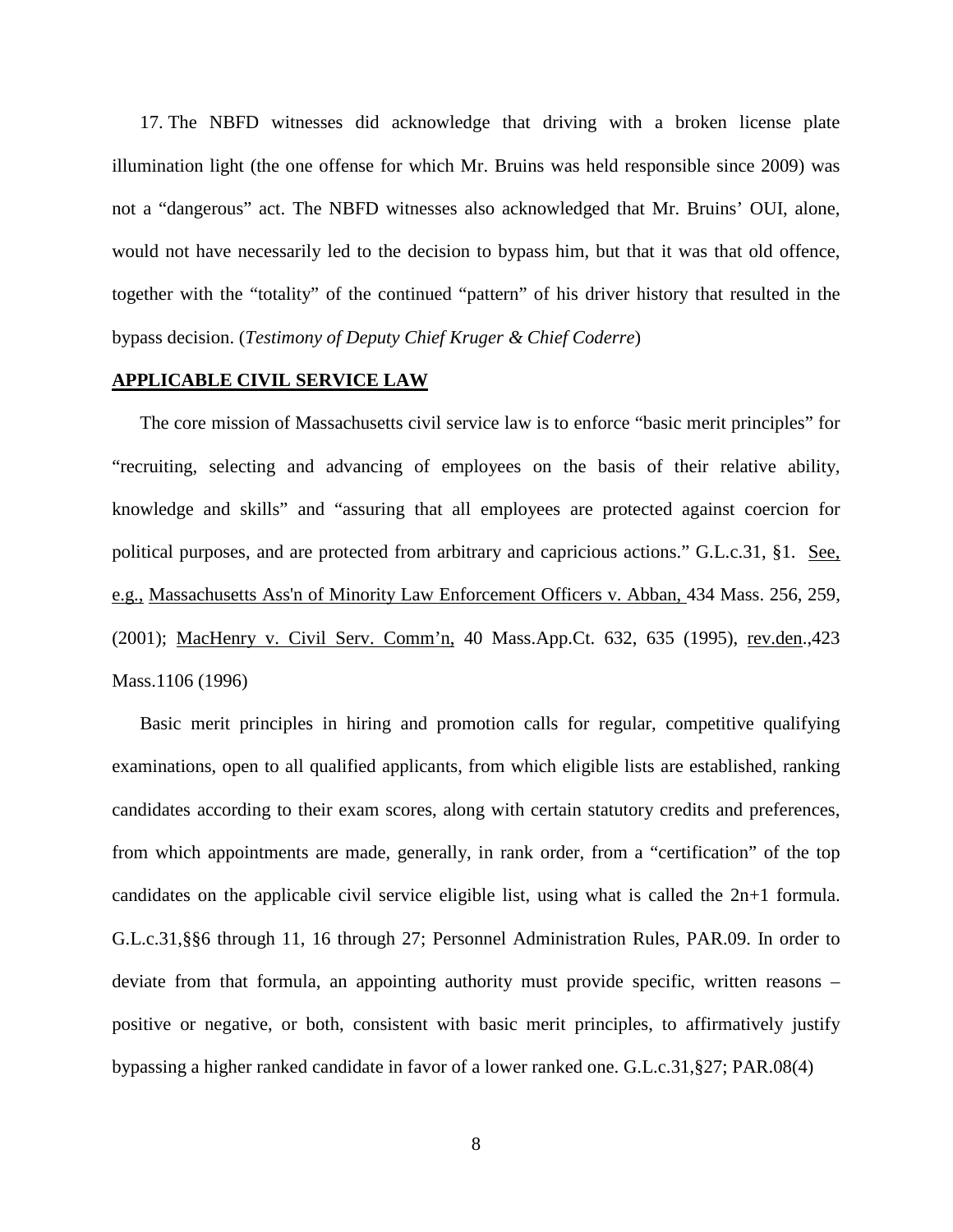17. The NBFD witnesses did acknowledge that driving with a broken license plate illumination light (the one offense for which Mr. Bruins was held responsible since 2009) was not a "dangerous" act. The NBFD witnesses also acknowledged that Mr. Bruins' OUI, alone, would not have necessarily led to the decision to bypass him, but that it was that old offence, together with the "totality" of the continued "pattern" of his driver history that resulted in the bypass decision. (*Testimony of Deputy Chief Kruger & Chief Coderre*)

### **APPLICABLE CIVIL SERVICE LAW**

The core mission of Massachusetts civil service law is to enforce "basic merit principles" for "recruiting, selecting and advancing of employees on the basis of their relative ability, knowledge and skills" and "assuring that all employees are protected against coercion for political purposes, and are protected from arbitrary and capricious actions." G.L.c.31, §1. See, e.g., [Massachusetts Ass'n of Minority Law Enforcement Officers v. Abban,](http://web2.westlaw.com/find/default.wl?mt=Massachusetts&db=578&rs=WLW15.04&tc=-1&rp=%2ffind%2fdefault.wl&findtype=Y&ordoc=2029136022&serialnum=2001441097&vr=2.0&fn=_top&sv=Split&tf=-1&pbc=70F732C1&utid=1) 434 Mass. 256, 259, [\(2001\);](http://web2.westlaw.com/find/default.wl?mt=Massachusetts&db=578&rs=WLW15.04&tc=-1&rp=%2ffind%2fdefault.wl&findtype=Y&ordoc=2029136022&serialnum=2001441097&vr=2.0&fn=_top&sv=Split&tf=-1&pbc=70F732C1&utid=1) MacHenry v. Civil Serv. Comm'n, 40 Mass.App.Ct. 632, 635 (1995), rev.den.,423 Mass.1106 (1996)

Basic merit principles in hiring and promotion calls for regular, competitive qualifying examinations, open to all qualified applicants, from which eligible lists are established, ranking candidates according to their exam scores, along with certain statutory credits and preferences, from which appointments are made, generally, in rank order, from a "certification" of the top candidates on the applicable civil service eligible list, using what is called the 2n+1 formula. G.L.c.31,§§6 through 11, 16 through 27; Personnel Administration Rules, PAR.09. In order to deviate from that formula, an appointing authority must provide specific, written reasons – positive or negative, or both, consistent with basic merit principles, to affirmatively justify bypassing a higher ranked candidate in favor of a lower ranked one. G.L.c.31,§27; PAR.08(4)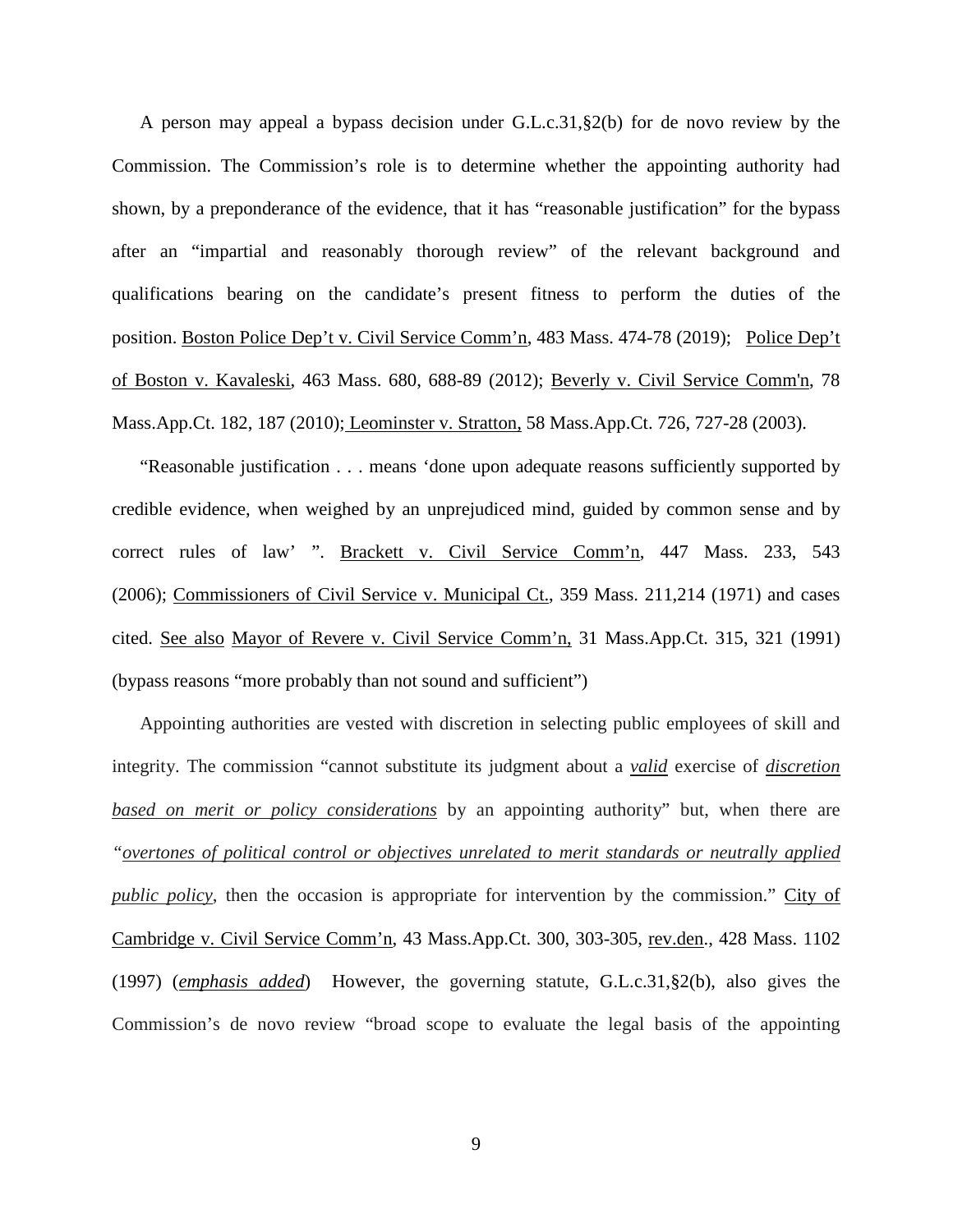A person may appeal a bypass decision under G.L.c.31,§2(b) for de novo review by the Commission. The Commission's role is to determine whether the appointing authority had shown, by a preponderance of the evidence, that it has "reasonable justification" for the bypass after an "impartial and reasonably thorough review" of the relevant background and qualifications bearing on the candidate's present fitness to perform the duties of the position. Boston Police Dep't v. Civil Service Comm'n, 483 Mass. 474-78 (2019); Police Dep't of Boston v. Kavaleski, 463 Mass. 680, 688-89 (2012); [Beverly v. Civil Service Comm'n, 78](http://web2.westlaw.com/find/default.wl?mt=Massachusetts&db=578&rs=WLW15.04&tc=-1&rp=%2ffind%2fdefault.wl&findtype=Y&ordoc=2029136022&serialnum=2023501172&vr=2.0&fn=_top&sv=Split&tf=-1&pbc=70F732C1&utid=1)  [Mass.App.Ct. 182, 187 \(2010\);](http://web2.westlaw.com/find/default.wl?mt=Massachusetts&db=578&rs=WLW15.04&tc=-1&rp=%2ffind%2fdefault.wl&findtype=Y&ordoc=2029136022&serialnum=2023501172&vr=2.0&fn=_top&sv=Split&tf=-1&pbc=70F732C1&utid=1) Leominster v. Stratton, 58 Mass.App.Ct. 726, 727-28 (2003).

"Reasonable justification . . . means 'done upon adequate reasons sufficiently supported by credible evidence, when weighed by an unprejudiced mind, guided by common sense and by correct rules of law' ". Brackett v. Civil Service Comm'n, 447 Mass. 233, 543 (2006); Commissioners of Civil Service v. Municipal Ct., 359 Mass. 211,214 (1971) and cases cited. See also Mayor of Revere v. Civil Service Comm'n, 31 Mass.App.Ct. 315, 321 (1991) (bypass reasons "more probably than not sound and sufficient")

Appointing authorities are vested with discretion in selecting public employees of skill and integrity. The commission "cannot substitute its judgment about a *valid* exercise of *discretion based on merit or policy considerations* by an appointing authority" but, when there are *"overtones of political control or objectives unrelated to merit standards or neutrally applied public policy*, then the occasion is appropriate for intervention by the commission." City of Cambridge v. Civil Service Comm'n, 43 Mass.App.Ct. 300, 303-305, rev.den., 428 Mass. 1102 (1997) (*emphasis added*) However, the governing statute, [G.L.c.31,§2\(b\),](https://1.next.westlaw.com/Link/Document/FullText?findType=L&pubNum=1000042&cite=MAST31S2&originatingDoc=Ib21af0ded3bd11d99439b076ef9ec4de&refType=LQ&originationContext=document&transitionType=DocumentItem&contextData=(sc.History*oc.UserEnteredCitation)) also gives the Commission's de novo review "broad scope to evaluate the legal basis of the appointing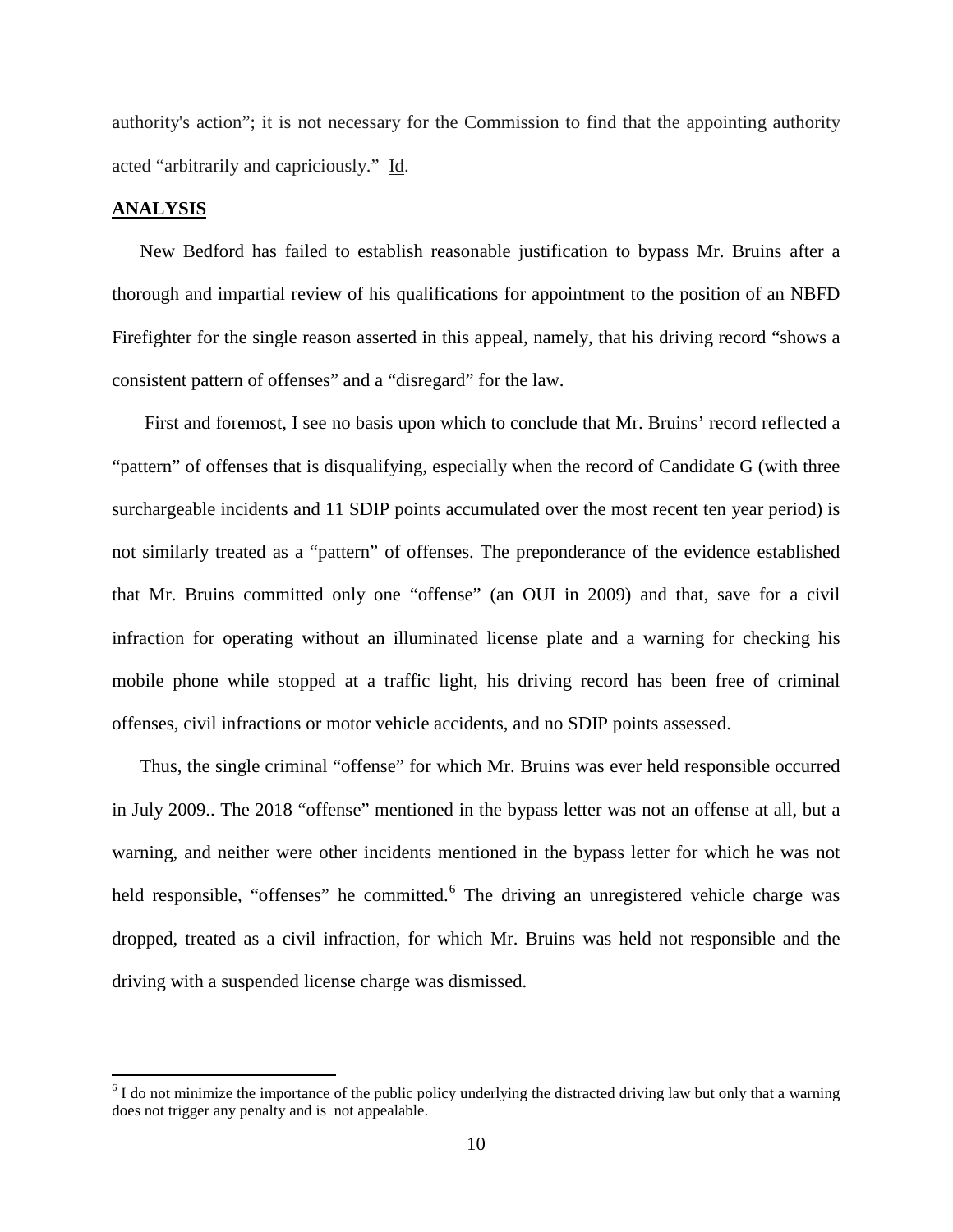authority's action"; it is not necessary for the Commission to find that the appointing authority acted "arbitrarily and capriciously." Id.

### **ANALYSIS**

New Bedford has failed to establish reasonable justification to bypass Mr. Bruins after a thorough and impartial review of his qualifications for appointment to the position of an NBFD Firefighter for the single reason asserted in this appeal, namely, that his driving record "shows a consistent pattern of offenses" and a "disregard" for the law.

First and foremost, I see no basis upon which to conclude that Mr. Bruins' record reflected a "pattern" of offenses that is disqualifying, especially when the record of Candidate G (with three surchargeable incidents and 11 SDIP points accumulated over the most recent ten year period) is not similarly treated as a "pattern" of offenses. The preponderance of the evidence established that Mr. Bruins committed only one "offense" (an OUI in 2009) and that, save for a civil infraction for operating without an illuminated license plate and a warning for checking his mobile phone while stopped at a traffic light, his driving record has been free of criminal offenses, civil infractions or motor vehicle accidents, and no SDIP points assessed.

Thus, the single criminal "offense" for which Mr. Bruins was ever held responsible occurred in July 2009.. The 2018 "offense" mentioned in the bypass letter was not an offense at all, but a warning, and neither were other incidents mentioned in the bypass letter for which he was not held responsible, "offenses" he committed.<sup>[6](#page-6-0)</sup> The driving an unregistered vehicle charge was dropped, treated as a civil infraction, for which Mr. Bruins was held not responsible and the driving with a suspended license charge was dismissed.

<span id="page-9-0"></span> $6$  I do not minimize the importance of the public policy underlying the distracted driving law but only that a warning does not trigger any penalty and is not appealable.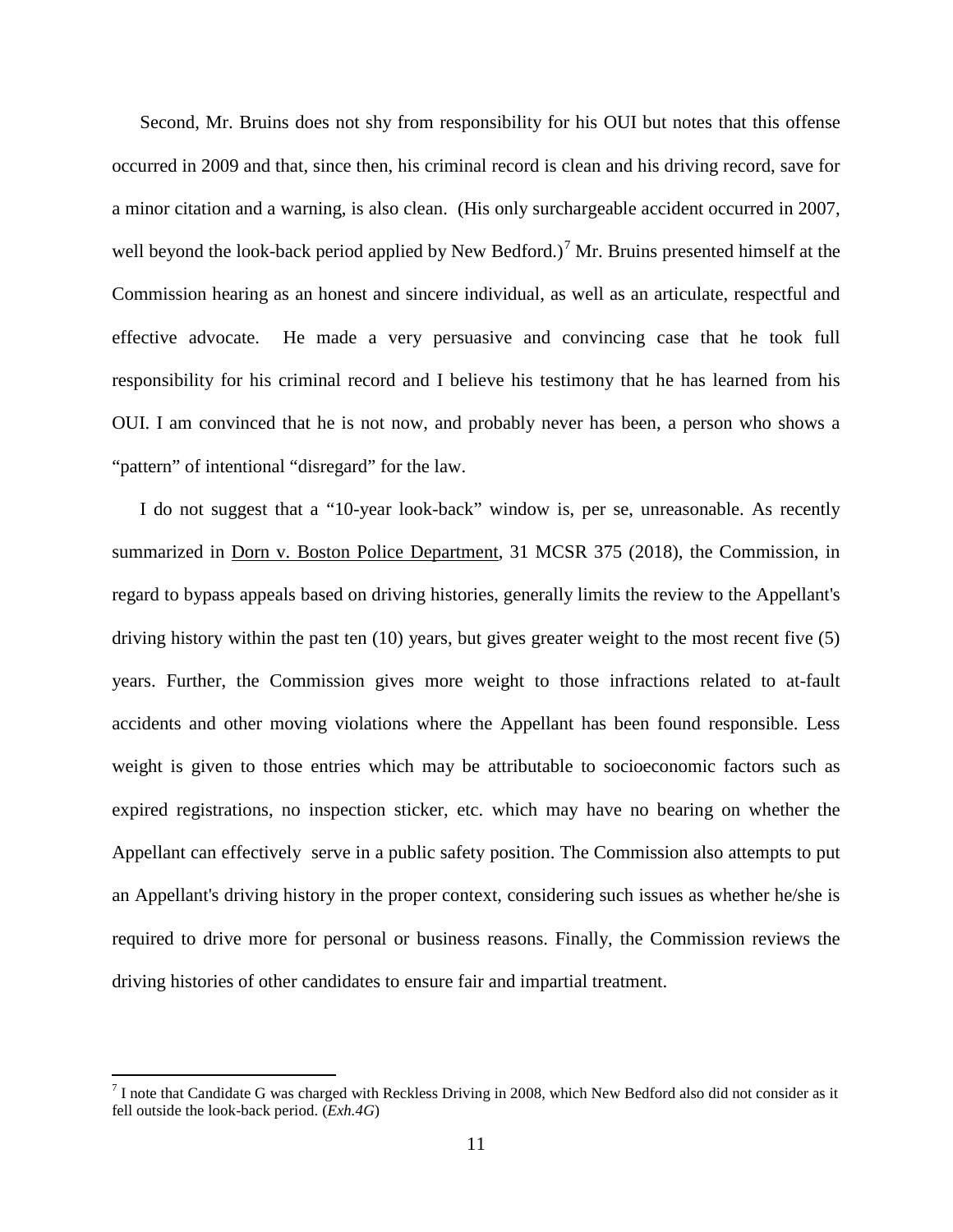Second, Mr. Bruins does not shy from responsibility for his OUI but notes that this offense occurred in 2009 and that, since then, his criminal record is clean and his driving record, save for a minor citation and a warning, is also clean. (His only surchargeable accident occurred in 2007, well beyond the look-back period applied by New Bedford.)<sup>[7](#page-9-0)</sup> Mr. Bruins presented himself at the Commission hearing as an honest and sincere individual, as well as an articulate, respectful and effective advocate. He made a very persuasive and convincing case that he took full responsibility for his criminal record and I believe his testimony that he has learned from his OUI. I am convinced that he is not now, and probably never has been, a person who shows a "pattern" of intentional "disregard" for the law.

I do not suggest that a "10-year look-back" window is, per se, unreasonable. As recently summarized in Dorn v. Boston Police Department, 31 MCSR 375 (2018), the Commission, in regard to bypass appeals based on driving histories, generally limits the review to the Appellant's driving history within the past ten (10) years, but gives greater weight to the most recent five (5) years. Further, the Commission gives more weight to those infractions related to at-fault accidents and other moving violations where the Appellant has been found responsible. Less weight is given to those entries which may be attributable to socioeconomic factors such as expired registrations, no inspection sticker, etc. which may have no bearing on whether the Appellant can effectively serve in a public safety position. The Commission also attempts to put an Appellant's driving history in the proper context, considering such issues as whether he/she is required to drive more for personal or business reasons. Finally, the Commission reviews the driving histories of other candidates to ensure fair and impartial treatment.

 $<sup>7</sup>$  I note that Candidate G was charged with Reckless Driving in 2008, which New Bedford also did not consider as it</sup> fell outside the look-back period. (*Exh.4G*)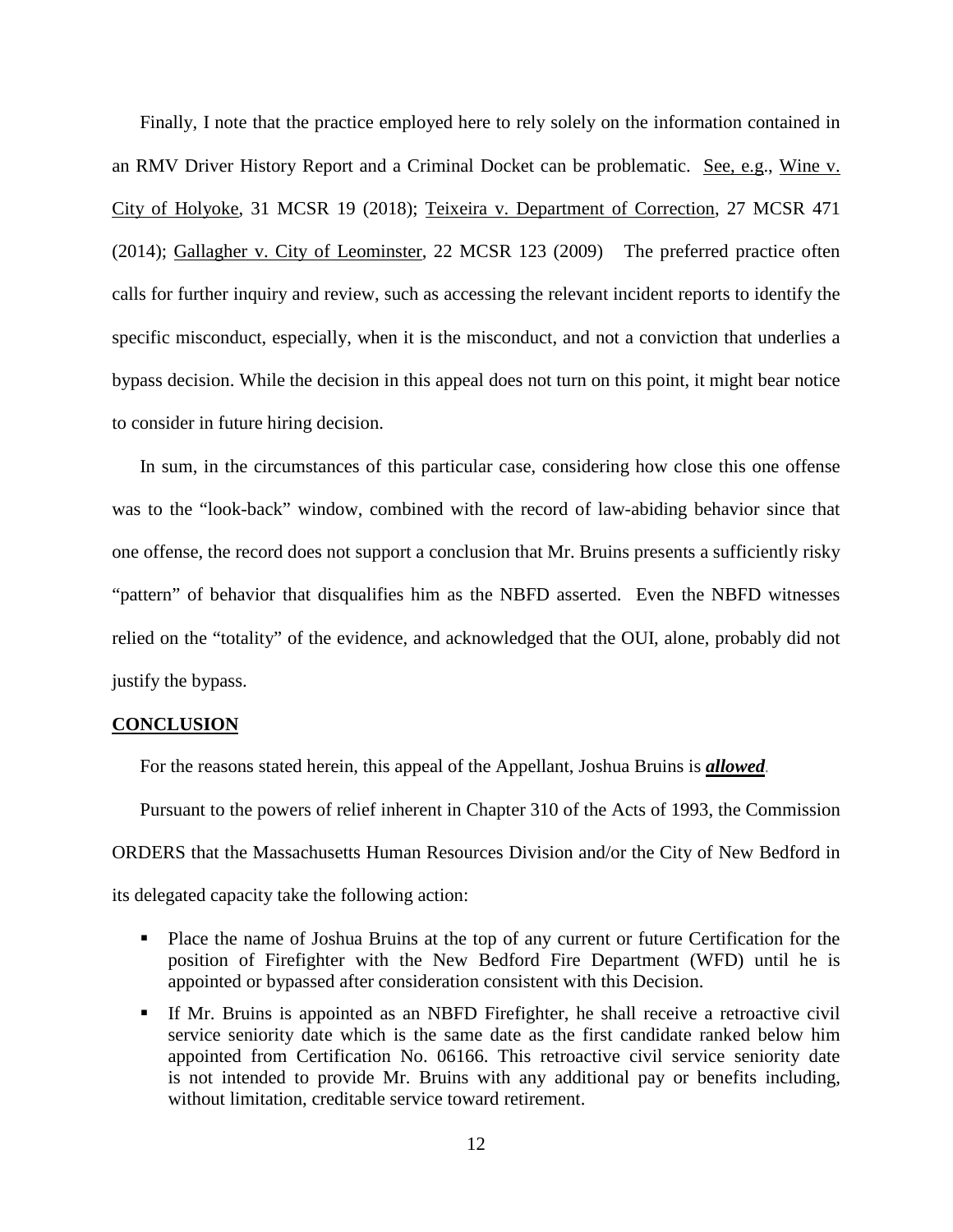Finally, I note that the practice employed here to rely solely on the information contained in an RMV Driver History Report and a Criminal Docket can be problematic. See, e.g., Wine v. City of Holyoke, 31 MCSR 19 (2018); Teixeira v. Department of Correction, 27 MCSR 471 (2014); Gallagher v. City of Leominster, 22 MCSR 123 (2009) The preferred practice often calls for further inquiry and review, such as accessing the relevant incident reports to identify the specific misconduct, especially, when it is the misconduct, and not a conviction that underlies a bypass decision. While the decision in this appeal does not turn on this point, it might bear notice to consider in future hiring decision.

In sum, in the circumstances of this particular case, considering how close this one offense was to the "look-back" window, combined with the record of law-abiding behavior since that one offense, the record does not support a conclusion that Mr. Bruins presents a sufficiently risky "pattern" of behavior that disqualifies him as the NBFD asserted. Even the NBFD witnesses relied on the "totality" of the evidence, and acknowledged that the OUI, alone, probably did not justify the bypass.

### **CONCLUSION**

For the reasons stated herein, this appeal of the Appellant, Joshua Bruins is *allowed.*

Pursuant to the powers of relief inherent in Chapter 310 of the Acts of 1993, the Commission ORDERS that the Massachusetts Human Resources Division and/or the City of New Bedford in its delegated capacity take the following action:

- Place the name of Joshua Bruins at the top of any current or future Certification for the position of Firefighter with the New Bedford Fire Department (WFD) until he is appointed or bypassed after consideration consistent with this Decision.
- If Mr. Bruins is appointed as an NBFD Firefighter, he shall receive a retroactive civil service seniority date which is the same date as the first candidate ranked below him appointed from Certification No. 06166. This retroactive civil service seniority date is not intended to provide Mr. Bruins with any additional pay or benefits including, without limitation, creditable service toward retirement.